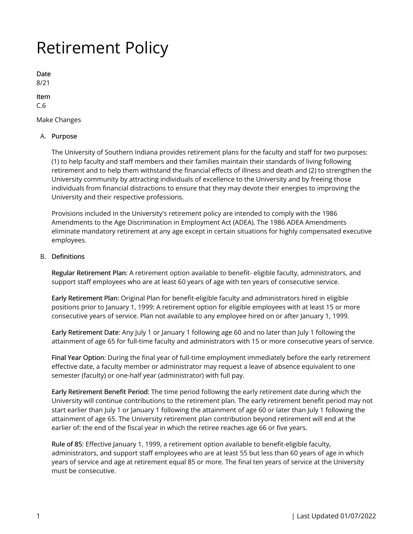# Retirement Policy

Date 8/21

Item C.6

Make Changes

## A. Purpose

The University of Southern Indiana provides retirement plans for the faculty and staff for two purposes: (1) to help faculty and staff members and their families maintain their standards of living following retirement and to help them withstand the financial effects of illness and death and (2) to strengthen the University community by attracting individuals of excellence to the University and by freeing those individuals from financial distractions to ensure that they may devote their energies to improving the University and their respective professions.

Provisions included in the University's retirement policy are intended to comply with the 1986 Amendments to the Age Discrimination in Employment Act (ADEA). The 1986 ADEA Amendments eliminate mandatory retirement at any age except in certain situations for highly compensated executive employees.

# B. Definitions

Regular Retirement Plan: A retirement option available to benefit- eligible faculty, administrators, and support staff employees who are at least 60 years of age with ten years of consecutive service.

Early Retirement Plan: Original Plan for benefit-eligible faculty and administrators hired in eligible positions prior to January 1, 1999: A retirement option for eligible employees with at least 15 or more consecutive years of service. Plan not available to any employee hired on or after January 1, 1999.

Early Retirement Date: Any July 1 or January 1 following age 60 and no later than July 1 following the attainment of age 65 for full-time faculty and administrators with 15 or more consecutive years of service.

Final Year Option: During the final year of full-time employment immediately before the early retirement effective date, a faculty member or administrator may request a leave of absence equivalent to one semester (faculty) or one-half year (administrator) with full pay.

Early Retirement Benefit Period: The time period following the early retirement date during which the University will continue contributions to the retirement plan. The early retirement benefit period may not start earlier than July 1 or January 1 following the attainment of age 60 or later than July 1 following the attainment of age 65. The University retirement plan contribution beyond retirement will end at the earlier of: the end of the fiscal year in which the retiree reaches age 66 or five years.

Rule of 85: Effective January 1, 1999, a retirement option available to benefit-eligible faculty, administrators, and support staff employees who are at least 55 but less than 60 years of age in which years of service and age at retirement equal 85 or more. The final ten years of service at the University must be consecutive.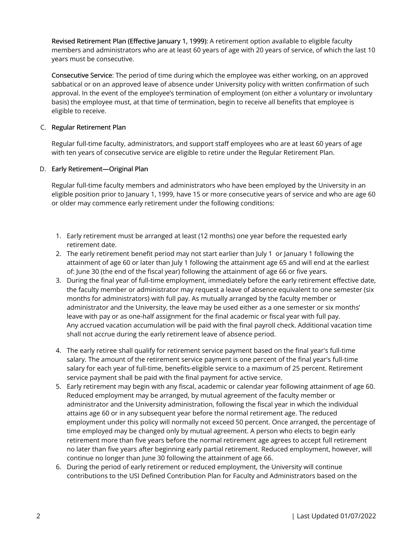Revised Retirement Plan (Effective January 1, 1999): A retirement option available to eligible faculty members and administrators who are at least 60 years of age with 20 years of service, of which the last 10 years must be consecutive.

Consecutive Service: The period of time during which the employee was either working, on an approved sabbatical or on an approved leave of absence under University policy with written confirmation of such approval. In the event of the employee's termination of employment (on either a voluntary or involuntary basis) the employee must, at that time of termination, begin to receive all benefits that employee is eligible to receive.

## C. Regular Retirement Plan

Regular full-time faculty, administrators, and support staff employees who are at least 60 years of age with ten years of consecutive service are eligible to retire under the Regular Retirement Plan.

# D. Early Retirement—Original Plan

Regular full-time faculty members and administrators who have been employed by the University in an eligible position prior to January 1, 1999, have 15 or more consecutive years of service and who are age 60 or older may commence early retirement under the following conditions:

- 1. Early retirement must be arranged at least (12 months) one year before the requested early retirement date.
- 2. The early retirement benefit period may not start earlier than July 1 or January 1 following the attainment of age 60 or later than July 1 following the attainment age 65 and will end at the earliest of: June 30 (the end of the fiscal year) following the attainment of age 66 or five years.
- 3. During the final year of full-time employment, immediately before the early retirement effective date, the faculty member or administrator may request a leave of absence equivalent to one semester (six months for administrators) with full pay. As mutually arranged by the faculty member or administrator and the University, the leave may be used either as a one semester or six months' leave with pay or as one-half assignment for the final academic or fiscal year with full pay. Any accrued vacation accumulation will be paid with the final payroll check. Additional vacation time shall not accrue during the early retirement leave of absence period.
- 4. The early retiree shall qualify for retirement service payment based on the final year's full-time salary. The amount of the retirement service payment is one percent of the final year's full-time salary for each year of full-time, benefits-eligible service to a maximum of 25 percent. Retirement service payment shall be paid with the final payment for active service.
- 5. Early retirement may begin with any fiscal, academic or calendar year following attainment of age 60. Reduced employment may be arranged, by mutual agreement of the faculty member or administrator and the University administration, following the fiscal year in which the individual attains age 60 or in any subsequent year before the normal retirement age. The reduced employment under this policy will normally not exceed 50 percent. Once arranged, the percentage of time employed may be changed only by mutual agreement. A person who elects to begin early retirement more than five years before the normal retirement age agrees to accept full retirement no later than five years after beginning early partial retirement. Reduced employment, however, will continue no longer than June 30 following the attainment of age 66.
- 6. During the period of early retirement or reduced employment, the University will continue contributions to the USI Defined Contribution Plan for Faculty and Administrators based on the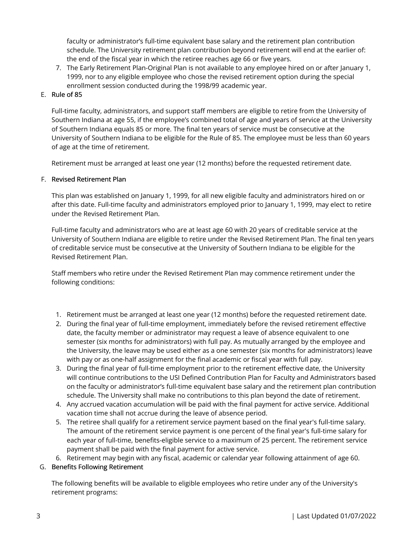faculty or administrator's full-time equivalent base salary and the retirement plan contribution schedule. The University retirement plan contribution beyond retirement will end at the earlier of: the end of the fiscal year in which the retiree reaches age 66 or five years.

7. The Early Retirement Plan-Original Plan is not available to any employee hired on or after January 1, 1999, nor to any eligible employee who chose the revised retirement option during the special enrollment session conducted during the 1998/99 academic year.

# E. Rule of 85

Full-time faculty, administrators, and support staff members are eligible to retire from the University of Southern Indiana at age 55, if the employee's combined total of age and years of service at the University of Southern Indiana equals 85 or more. The final ten years of service must be consecutive at the University of Southern Indiana to be eligible for the Rule of 85. The employee must be less than 60 years of age at the time of retirement.

Retirement must be arranged at least one year (12 months) before the requested retirement date.

# F. Revised Retirement Plan

This plan was established on January 1, 1999, for all new eligible faculty and administrators hired on or after this date. Full-time faculty and administrators employed prior to January 1, 1999, may elect to retire under the Revised Retirement Plan.

Full-time faculty and administrators who are at least age 60 with 20 years of creditable service at the University of Southern Indiana are eligible to retire under the Revised Retirement Plan. The final ten years of creditable service must be consecutive at the University of Southern Indiana to be eligible for the Revised Retirement Plan.

Staff members who retire under the Revised Retirement Plan may commence retirement under the following conditions:

- 1. Retirement must be arranged at least one year (12 months) before the requested retirement date.
- 2. During the final year of full-time employment, immediately before the revised retirement effective date, the faculty member or administrator may request a leave of absence equivalent to one semester (six months for administrators) with full pay. As mutually arranged by the employee and the University, the leave may be used either as a one semester (six months for administrators) leave with pay or as one-half assignment for the final academic or fiscal year with full pay.
- 3. During the final year of full-time employment prior to the retirement effective date, the University will continue contributions to the USI Defined Contribution Plan for Faculty and Administrators based on the faculty or administrator's full-time equivalent base salary and the retirement plan contribution schedule. The University shall make no contributions to this plan beyond the date of retirement.
- 4. Any accrued vacation accumulation will be paid with the final payment for active service. Additional vacation time shall not accrue during the leave of absence period.
- 5. The retiree shall qualify for a retirement service payment based on the final year's full-time salary. The amount of the retirement service payment is one percent of the final year's full-time salary for each year of full-time, benefits-eligible service to a maximum of 25 percent. The retirement service payment shall be paid with the final payment for active service.
- 6. Retirement may begin with any fiscal, academic or calendar year following attainment of age 60.

## G. Benefits Following Retirement

The following benefits will be available to eligible employees who retire under any of the University's retirement programs: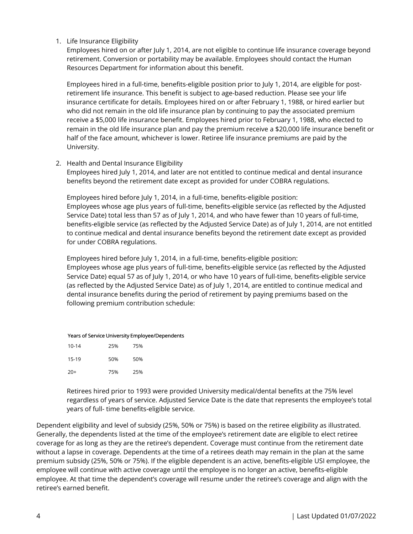1. Life Insurance Eligibility

Employees hired on or after July 1, 2014, are not eligible to continue life insurance coverage beyond retirement. Conversion or portability may be available. Employees should contact the Human Resources Department for information about this benefit.

Employees hired in a full-time, benefits-eligible position prior to July 1, 2014, are eligible for postretirement life insurance. This benefit is subject to age-based reduction. Please see your life insurance certificate for details. Employees hired on or after February 1, 1988, or hired earlier but who did not remain in the old life insurance plan by continuing to pay the associated premium receive a \$5,000 life insurance benefit. Employees hired prior to February 1, 1988, who elected to remain in the old life insurance plan and pay the premium receive a \$20,000 life insurance benefit or half of the face amount, whichever is lower. Retiree life insurance premiums are paid by the University.

2. Health and Dental Insurance Eligibility

Employees hired July 1, 2014, and later are not entitled to continue medical and dental insurance benefits beyond the retirement date except as provided for under COBRA regulations.

Employees hired before July 1, 2014, in a full-time, benefits-eligible position: Employees whose age plus years of full-time, benefits-eligible service (as reflected by the Adjusted Service Date) total less than 57 as of July 1, 2014, and who have fewer than 10 years of full-time, benefits-eligible service (as reflected by the Adjusted Service Date) as of July 1, 2014, are not entitled to continue medical and dental insurance benefits beyond the retirement date except as provided for under COBRA regulations.

Employees hired before July 1, 2014, in a full-time, benefits-eligible position:

Employees whose age plus years of full-time, benefits-eligible service (as reflected by the Adjusted Service Date) equal 57 as of July 1, 2014, or who have 10 years of full-time, benefits-eligible service (as reflected by the Adjusted Service Date) as of July 1, 2014, are entitled to continue medical and dental insurance benefits during the period of retirement by paying premiums based on the following premium contribution schedule:

| Years of Service University Employee/Dependents |     |     |
|-------------------------------------------------|-----|-----|
| $10 - 14$                                       | 25% | 75% |
| 15-19                                           | 50% | 50% |
| $20+$                                           | 75% | 25% |

Retirees hired prior to 1993 were provided University medical/dental benefits at the 75% level regardless of years of service. Adjusted Service Date is the date that represents the employee's total years of full- time benefits-eligible service.

Dependent eligibility and level of subsidy (25%, 50% or 75%) is based on the retiree eligibility as illustrated. Generally, the dependents listed at the time of the employee's retirement date are eligible to elect retiree coverage for as long as they are the retiree's dependent. Coverage must continue from the retirement date without a lapse in coverage. Dependents at the time of a retirees death may remain in the plan at the same premium subsidy (25%, 50% or 75%). If the eligible dependent is an active, benefits-eligible USI employee, the employee will continue with active coverage until the employee is no longer an active, benefits-eligible employee. At that time the dependent's coverage will resume under the retiree's coverage and align with the retiree's earned benefit.